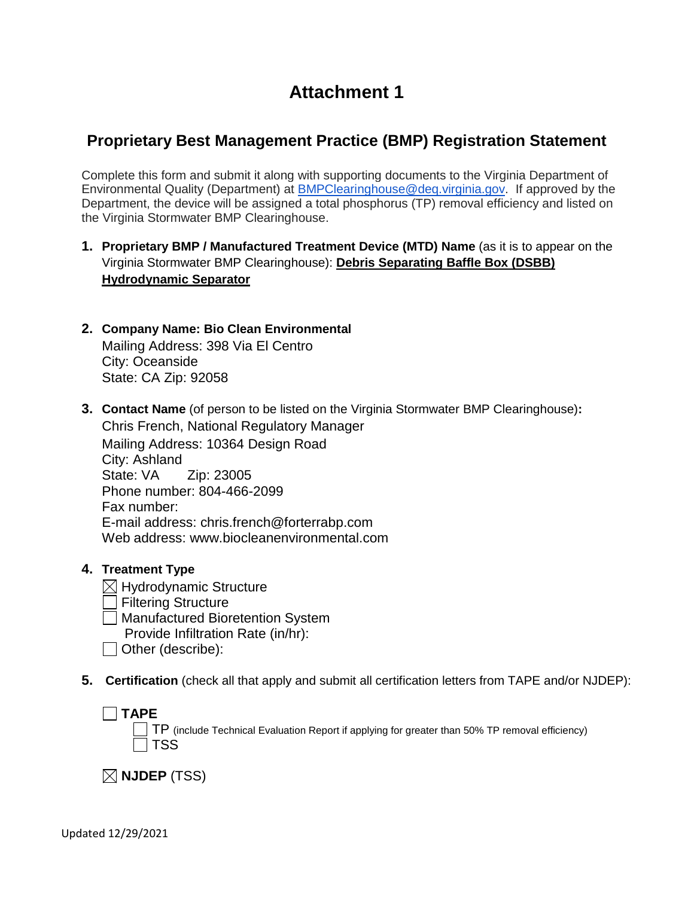# **Attachment 1**

## **Proprietary Best Management Practice (BMP) Registration Statement**

Complete this form and submit it along with supporting documents to the Virginia Department of Environmental Quality (Department) at [BMPClearinghouse@deq.virginia.gov.](mailto:BMPClearinghouse@deq.virginia.gov) If approved by the Department, the device will be assigned a total phosphorus (TP) removal efficiency and listed on the Virginia Stormwater BMP Clearinghouse.

- **1. Proprietary BMP / Manufactured Treatment Device (MTD) Name** (as it is to appear on the Virginia Stormwater BMP Clearinghouse): **Debris Separating Baffle Box (DSBB) Hydrodynamic Separator**
- **2. Company Name: Bio Clean Environmental**  Mailing Address: 398 Via El Centro City: Oceanside State: CA Zip: 92058
- **3. Contact Name** (of person to be listed on the Virginia Stormwater BMP Clearinghouse)**:**  Chris French, National Regulatory Manager Mailing Address: 10364 Design Road City: Ashland State: VA Zip: 23005 Phone number: 804-466-2099 Fax number: E-mail address: chris.french@forterrabp.com Web address: www.biocleanenvironmental.com
- **4. Treatment Type**
	- $\boxtimes$  Hydrodynamic Structure Filtering Structure Manufactured Bioretention System Provide Infiltration Rate (in/hr):
	- Other (describe):
- **5. Certification** (check all that apply and submit all certification letters from TAPE and/or NJDEP):

 $\Box$ **TAPE** 

TP (include Technical Evaluation Report if applying for greater than 50% TP removal efficiency)  $\sqcap$  TSS

 $\boxtimes$  NJDEP (TSS)